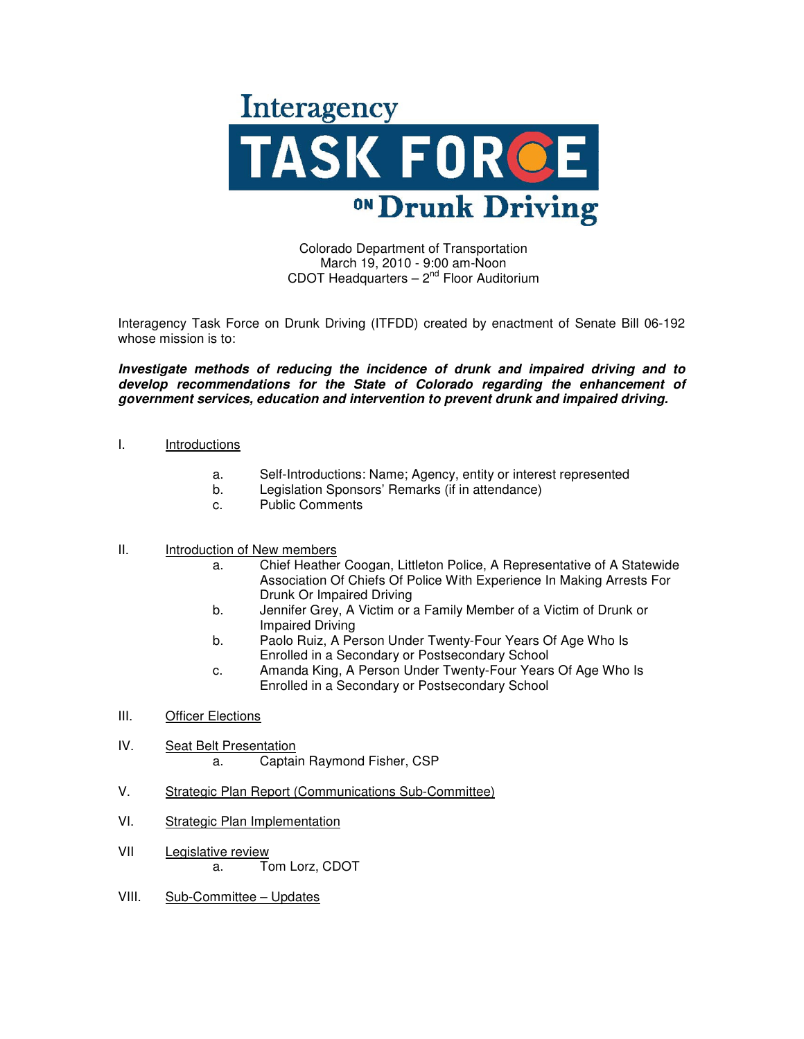

Colorado Department of Transportation March 19, 2010 - 9:00 am-Noon CDOT Headquarters  $-2<sup>nd</sup>$  Floor Auditorium

Interagency Task Force on Drunk Driving (ITFDD) created by enactment of Senate Bill 06-192 whose mission is to:

**Investigate methods of reducing the incidence of drunk and impaired driving and to develop recommendations for the State of Colorado regarding the enhancement of government services, education and intervention to prevent drunk and impaired driving.**

## I. Introductions

- a. Self-Introductions: Name; Agency, entity or interest represented
- Legislation Sponsors' Remarks (if in attendance)
- c. Public Comments

## II. Introduction of New members

- a. Chief Heather Coogan, Littleton Police, A Representative of A Statewide Association Of Chiefs Of Police With Experience In Making Arrests For Drunk Or Impaired Driving
- b. Jennifer Grey, A Victim or a Family Member of a Victim of Drunk or Impaired Driving
- b. Paolo Ruiz, A Person Under Twenty-Four Years Of Age Who Is Enrolled in a Secondary or Postsecondary School
- c. Amanda King, A Person Under Twenty-Four Years Of Age Who Is Enrolled in a Secondary or Postsecondary School
- III. Officer Elections
- IV. Seat Belt Presentation
	- a. Captain Raymond Fisher, CSP
- V. Strategic Plan Report (Communications Sub-Committee)
- VI. Strategic Plan Implementation
- VII Legislative review a. Tom Lorz, CDOT
- VIII. Sub-Committee Updates